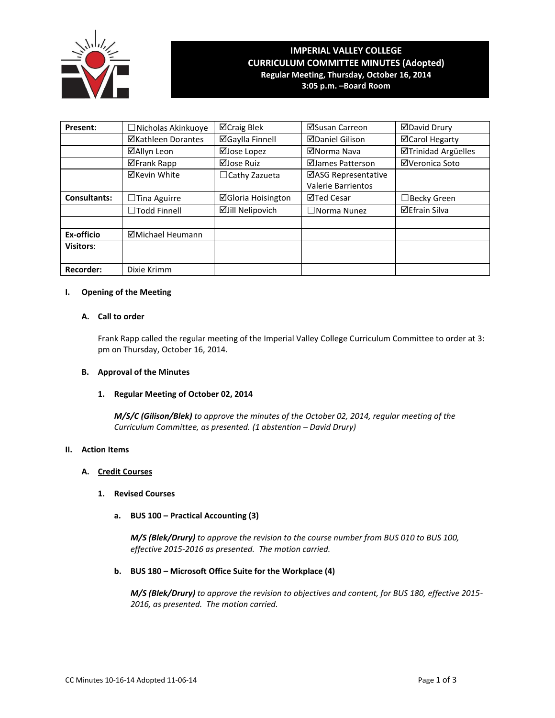

# **IMPERIAL VALLEY COLLEGE CURRICULUM COMMITTEE MINUTES (Adopted) Regular Meeting, Thursday, October 16, 2014**

**3:05 p.m. –Board Room**

| Present:            | $\Box$ Nicholas Akinkuoye | ⊠Craig Blek               | ⊠Susan Carreon            | <b>ØDavid Drury</b>  |
|---------------------|---------------------------|---------------------------|---------------------------|----------------------|
|                     | <b>⊠Kathleen Dorantes</b> | <b>ØGaylla Finnell</b>    | <b>ØDaniel Gilison</b>    | ⊠Carol Hegarty       |
|                     | ⊠Allyn Leon               | ⊠Jose Lopez               | ⊠Norma Nava               | ⊠Trinidad Argüelles  |
|                     | <b>⊠Frank Rapp</b>        | ⊠Jose Ruiz                | ⊠James Patterson          | ⊠Veronica Soto       |
|                     | <b>⊠Kevin White</b>       | $\Box$ Cathy Zazueta      | ⊠ASG Representative       |                      |
|                     |                           |                           | <b>Valerie Barrientos</b> |                      |
| <b>Consultants:</b> | $\Box$ Tina Aguirre       | <b>ØGloria Hoisington</b> | ⊠Ted Cesar                | ∃Becky Green         |
|                     | $\Box$ Todd Finnell       | <b>ØJill Nelipovich</b>   | $\Box$ Norma Nunez        | <b>⊠Efrain Silva</b> |
|                     |                           |                           |                           |                      |
| Ex-officio          | ⊠Michael Heumann          |                           |                           |                      |
| <b>Visitors:</b>    |                           |                           |                           |                      |
|                     |                           |                           |                           |                      |
| <b>Recorder:</b>    | Dixie Krimm               |                           |                           |                      |

## **I. Opening of the Meeting**

## **A. Call to order**

Frank Rapp called the regular meeting of the Imperial Valley College Curriculum Committee to order at 3: pm on Thursday, October 16, 2014.

#### **B. Approval of the Minutes**

#### **1. Regular Meeting of October 02, 2014**

*M/S/C (Gilison/Blek) to approve the minutes of the October 02, 2014, regular meeting of the Curriculum Committee, as presented. (1 abstention – David Drury)*

#### **II. Action Items**

#### **A. Credit Courses**

- **1. Revised Courses**
	- **a. BUS 100 – Practical Accounting (3)**

*M/S (Blek/Drury) to approve the revision to the course number from BUS 010 to BUS 100, effective 2015-2016 as presented. The motion carried.*

## **b. BUS 180 – Microsoft Office Suite for the Workplace (4)**

*M/S (Blek/Drury) to approve the revision to objectives and content, for BUS 180, effective 2015- 2016, as presented. The motion carried.*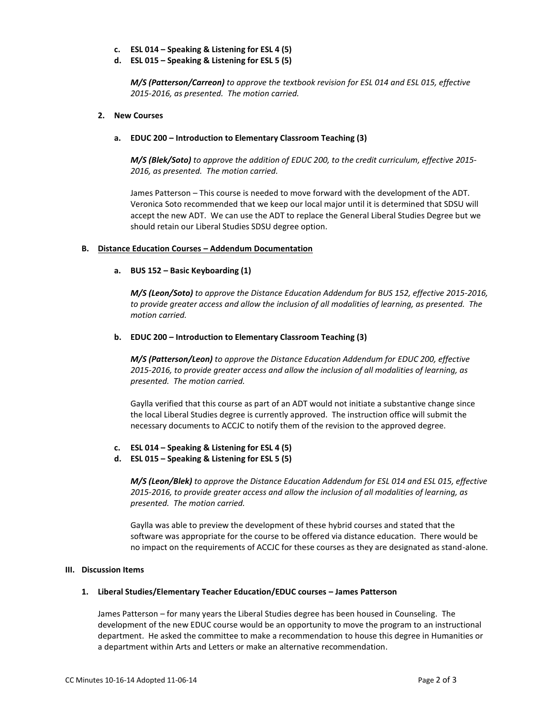- **c. ESL 014 – Speaking & Listening for ESL 4 (5)**
- **d. ESL 015 – Speaking & Listening for ESL 5 (5)**

*M/S (Patterson/Carreon) to approve the textbook revision for ESL 014 and ESL 015, effective 2015-2016, as presented. The motion carried.*

#### **2. New Courses**

#### **a. EDUC 200 – Introduction to Elementary Classroom Teaching (3)**

*M/S (Blek/Soto) to approve the addition of EDUC 200, to the credit curriculum, effective 2015- 2016, as presented. The motion carried.*

James Patterson – This course is needed to move forward with the development of the ADT. Veronica Soto recommended that we keep our local major until it is determined that SDSU will accept the new ADT. We can use the ADT to replace the General Liberal Studies Degree but we should retain our Liberal Studies SDSU degree option.

## **B. Distance Education Courses – Addendum Documentation**

## **a. BUS 152 – Basic Keyboarding (1)**

*M/S (Leon/Soto) to approve the Distance Education Addendum for BUS 152, effective 2015-2016, to provide greater access and allow the inclusion of all modalities of learning, as presented. The motion carried.*

## **b. EDUC 200 – Introduction to Elementary Classroom Teaching (3)**

*M/S (Patterson/Leon) to approve the Distance Education Addendum for EDUC 200, effective 2015-2016, to provide greater access and allow the inclusion of all modalities of learning, as presented. The motion carried.*

Gaylla verified that this course as part of an ADT would not initiate a substantive change since the local Liberal Studies degree is currently approved. The instruction office will submit the necessary documents to ACCJC to notify them of the revision to the approved degree.

- **c. ESL 014 – Speaking & Listening for ESL 4 (5)**
- **d. ESL 015 – Speaking & Listening for ESL 5 (5)**

*M/S (Leon/Blek) to approve the Distance Education Addendum for ESL 014 and ESL 015, effective 2015-2016, to provide greater access and allow the inclusion of all modalities of learning, as presented. The motion carried.*

Gaylla was able to preview the development of these hybrid courses and stated that the software was appropriate for the course to be offered via distance education. There would be no impact on the requirements of ACCJC for these courses as they are designated as stand-alone.

#### **III. Discussion Items**

#### **1. Liberal Studies/Elementary Teacher Education/EDUC courses – James Patterson**

James Patterson – for many years the Liberal Studies degree has been housed in Counseling. The development of the new EDUC course would be an opportunity to move the program to an instructional department. He asked the committee to make a recommendation to house this degree in Humanities or a department within Arts and Letters or make an alternative recommendation.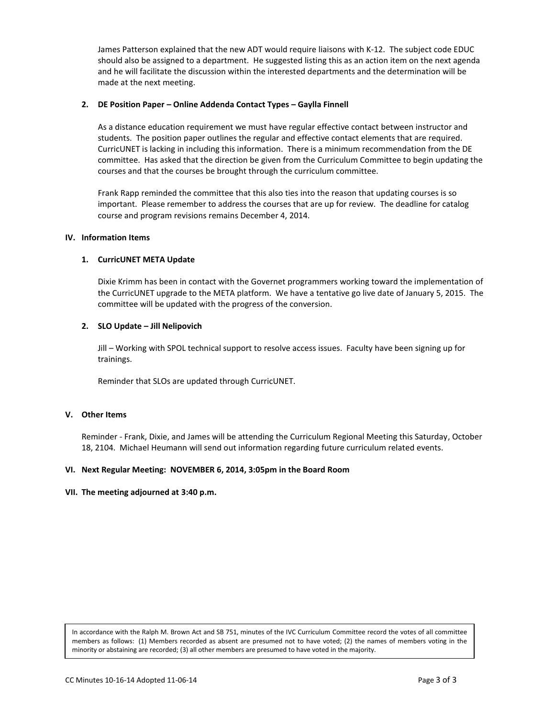James Patterson explained that the new ADT would require liaisons with K-12. The subject code EDUC should also be assigned to a department. He suggested listing this as an action item on the next agenda and he will facilitate the discussion within the interested departments and the determination will be made at the next meeting.

## **2. DE Position Paper – Online Addenda Contact Types – Gaylla Finnell**

As a distance education requirement we must have regular effective contact between instructor and students. The position paper outlines the regular and effective contact elements that are required. CurricUNET is lacking in including this information. There is a minimum recommendation from the DE committee. Has asked that the direction be given from the Curriculum Committee to begin updating the courses and that the courses be brought through the curriculum committee.

Frank Rapp reminded the committee that this also ties into the reason that updating courses is so important. Please remember to address the courses that are up for review. The deadline for catalog course and program revisions remains December 4, 2014.

#### **IV. Information Items**

## **1. CurricUNET META Update**

Dixie Krimm has been in contact with the Governet programmers working toward the implementation of the CurricUNET upgrade to the META platform. We have a tentative go live date of January 5, 2015. The committee will be updated with the progress of the conversion.

## **2. SLO Update – Jill Nelipovich**

Jill – Working with SPOL technical support to resolve access issues. Faculty have been signing up for trainings.

Reminder that SLOs are updated through CurricUNET.

## **V. Other Items**

Reminder - Frank, Dixie, and James will be attending the Curriculum Regional Meeting this Saturday, October 18, 2104. Michael Heumann will send out information regarding future curriculum related events.

#### **VI. Next Regular Meeting: NOVEMBER 6, 2014, 3:05pm in the Board Room**

#### **VII. The meeting adjourned at 3:40 p.m.**

In accordance with the Ralph M. Brown Act and SB 751, minutes of the IVC Curriculum Committee record the votes of all committee members as follows: (1) Members recorded as absent are presumed not to have voted; (2) the names of members voting in the minority or abstaining are recorded; (3) all other members are presumed to have voted in the majority.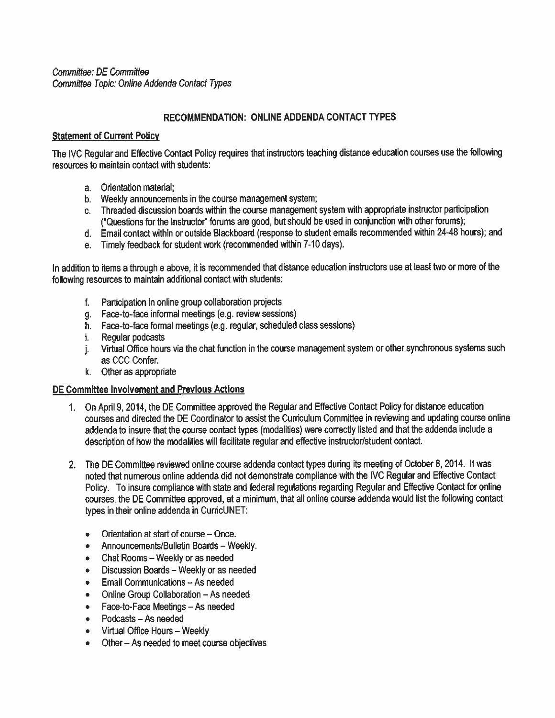Committee: DE Committee Committee Topic: Online Addenda Contact Types

# RECOMMENDATION: ONLINE ADDENDA CONTACT TYPES

## **Statement of Current Policy**

The IVC Regular and Effective Contact Policy requires that instructors teaching distance education courses use the following resources to maintain contact with students:

- a. Orientation material:
- b. Weekly announcements in the course management system;
- c. Threaded discussion boards within the course management system with appropriate instructor participation ("Questions for the Instructor" forums are good, but should be used in conjunction with other forums);
- d. Email contact within or outside Blackboard (response to student emails recommended within 24-48 hours); and
- e. Timely feedback for student work (recommended within 7-10 days).

In addition to items a through e above, it is recommended that distance education instructors use at least two or more of the following resources to maintain additional contact with students:

- f. Participation in online group collaboration projects
- g. Face-to-face informal meetings (e.g. review sessions)
- h. Face-to-face formal meetings (e.g. regular, scheduled class sessions)
- i. Regular podcasts
- j. Virtual Office hours via the chat function in the course management system or other synchronous systems such as CCC Confer.
- k. Other as appropriate

## DE Committee Involvement and Previous Actions

- 1. On April 9, 2014, the DE Committee approved the Regular and Effective Contact Policy for distance education courses and directed the DE Coordinator to assist the Curriculum Committee in reviewing and updating course online addenda to insure that the course contact types (modalities) were correctly listed and that the addenda include a description of how the modalities will facilitate regular and effective instructor/student contact.
- 2. The DE Committee reviewed online course addenda contact types during its meeting of October 8, 2014. It was noted that numerous online addenda did not demonstrate compliance with the IVC Regular and Effective Contact Policy. To insure compliance with state and federal regulations regarding Regular and Effective Contact for online courses, the DE Committee approved, at a minimum, that all online course addenda would list the following contact types in their online addenda in CurricUNET:
	- Orientation at start of course Once.  $\bullet$
	- Announcements/Bulletin Boards Weekly.  $\bullet$
	- Chat Rooms Weekly or as needed  $\bullet$
	- Discussion Boards Weekly or as needed  $\bullet$
	- Email Communications As needed  $\bullet$
	- Online Group Collaboration As needed  $\bullet$
	- Face-to-Face Meetings As needed  $\bullet$
	- Podcasts As needed  $\bullet$
	- Virtual Office Hours Weekly  $\bullet$
	- Other As needed to meet course objectives  $\bullet$